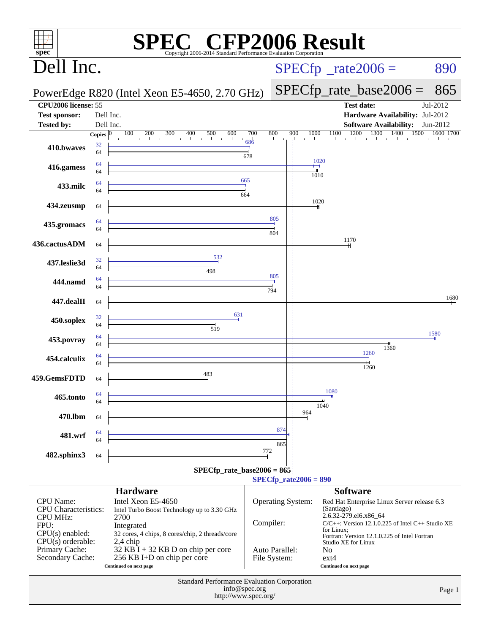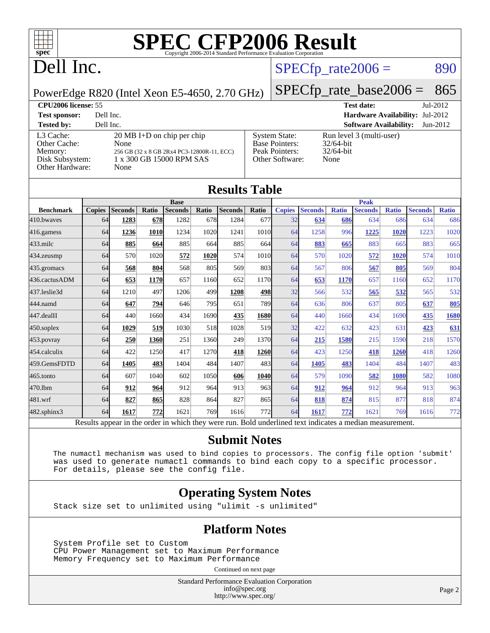

## Dell Inc.

#### $SPECTp_rate2006 = 890$

PowerEdge R820 (Intel Xeon E5-4650, 2.70 GHz)

[Memory:](http://www.spec.org/auto/cpu2006/Docs/result-fields.html#Memory) 256 GB (32 x 8 GB 2Rx4 PC3-12800R-11, ECC) [Disk Subsystem:](http://www.spec.org/auto/cpu2006/Docs/result-fields.html#DiskSubsystem) 1 x 300 GB 15000 RPM SAS

[SPECfp\\_rate\\_base2006 =](http://www.spec.org/auto/cpu2006/Docs/result-fields.html#SPECfpratebase2006) 865

#### **[CPU2006 license:](http://www.spec.org/auto/cpu2006/Docs/result-fields.html#CPU2006license)** 55 **[Test date:](http://www.spec.org/auto/cpu2006/Docs/result-fields.html#Testdate)** Jul-2012

[Other Hardware:](http://www.spec.org/auto/cpu2006/Docs/result-fields.html#OtherHardware) None

[Other Cache:](http://www.spec.org/auto/cpu2006/Docs/result-fields.html#OtherCache)

**[Test sponsor:](http://www.spec.org/auto/cpu2006/Docs/result-fields.html#Testsponsor)** Dell Inc. **[Hardware Availability:](http://www.spec.org/auto/cpu2006/Docs/result-fields.html#HardwareAvailability)** Jul-2012 **[Tested by:](http://www.spec.org/auto/cpu2006/Docs/result-fields.html#Testedby)** Dell Inc. **[Software Availability:](http://www.spec.org/auto/cpu2006/Docs/result-fields.html#SoftwareAvailability)** Jun-2012 [L3 Cache:](http://www.spec.org/auto/cpu2006/Docs/result-fields.html#L3Cache) 20 MB I+D on chip per chip<br>Other Cache: None [System State:](http://www.spec.org/auto/cpu2006/Docs/result-fields.html#SystemState) Run level 3 (multi-user)<br>Base Pointers: 32/64-bit [Base Pointers:](http://www.spec.org/auto/cpu2006/Docs/result-fields.html#BasePointers)

[Peak Pointers:](http://www.spec.org/auto/cpu2006/Docs/result-fields.html#PeakPointers) 32/64-bit [Other Software:](http://www.spec.org/auto/cpu2006/Docs/result-fields.html#OtherSoftware) None

| <b>Results Table</b>                                                                                     |               |                |       |                |       |                |             |               |                |              |                |              |                |              |
|----------------------------------------------------------------------------------------------------------|---------------|----------------|-------|----------------|-------|----------------|-------------|---------------|----------------|--------------|----------------|--------------|----------------|--------------|
|                                                                                                          | <b>Base</b>   |                |       |                |       |                | <b>Peak</b> |               |                |              |                |              |                |              |
| <b>Benchmark</b>                                                                                         | <b>Copies</b> | <b>Seconds</b> | Ratio | <b>Seconds</b> | Ratio | <b>Seconds</b> | Ratio       | <b>Copies</b> | <b>Seconds</b> | <b>Ratio</b> | <b>Seconds</b> | <b>Ratio</b> | <b>Seconds</b> | <b>Ratio</b> |
| 410.bwayes                                                                                               | 64            | 1283           | 678   | 1282           | 678   | 1284           | 677         | 32            | 634            | 686          | 634            | 686          | 634            | 686          |
| 416.gamess                                                                                               | 64            | 1236           | 1010  | 1234           | 1020  | 1241           | 1010        | 64            | 1258           | 996          | 1225           | 1020         | 1223           | 1020         |
| $433$ .milc                                                                                              | 64            | 885            | 664   | 885            | 664   | 885            | 664         | 64            | 883            | 665          | 883            | 665          | 883            | 665          |
| 434.zeusmp                                                                                               | 64            | 570            | 1020  | 572            | 1020  | 574            | 1010        | 64            | 570            | 1020         | 572            | 1020         | 574            | 1010         |
| 435.gromacs                                                                                              | 64            | 568            | 804   | 568            | 805   | 569            | 803         | 64            | 567            | 806          | 567            | 805          | 569            | 804          |
| 436.cactusADM                                                                                            | 64            | 653            | 1170  | 657            | 1160  | 652            | 1170        | 64            | 653            | 1170         | 657            | 1160         | 652            | 1170         |
| 437.leslie3d                                                                                             | 64            | 1210           | 497   | 1206           | 499   | 1208           | 498         | 32            | 566            | 532          | 565            | 532          | 565            | 532          |
| 444.namd                                                                                                 | 64            | 647            | 794   | 646            | 795   | 651            | <b>789</b>  | 64            | 636            | 806          | 637            | 805          | 637            | 805          |
| 447.dealII                                                                                               | 64            | 440            | 1660  | 434            | 1690  | 435            | <b>1680</b> | 64            | 440            | 1660         | 434            | 1690         | 435            | 1680         |
| $450$ .soplex                                                                                            | 64            | 1029           | 519   | 1030           | 518   | 1028           | 519         | 32            | 422            | 632          | 423            | 631          | 423            | 631          |
| 453.povray                                                                                               | 64            | 250            | 1360  | 251            | 1360  | 249            | 1370        | 64            | 215            | 1580         | 215            | 1590         | 218            | 1570         |
| 454.calculix                                                                                             | 64            | 422            | 1250  | 417            | 1270  | 418            | 1260        | 64            | 423            | 1250         | 418            | 1260         | 418            | 1260         |
| 459.GemsFDTD                                                                                             | 64            | 1405           | 483   | 1404           | 484   | 1407           | 483         | 64            | 1405           | 483          | 1404           | 484          | 1407           | 483          |
| 465.tonto                                                                                                | 64            | 607            | 1040  | 602            | 1050  | 606            | <b>1040</b> | 64            | 579            | 1090         | 582            | 1080         | 582            | 1080         |
| 470.1bm                                                                                                  | 64            | 912            | 964   | 912            | 964   | 913            | 963         | 64            | 912            | 964          | 912            | 964          | 913            | 963          |
| 481.wrf                                                                                                  | 64            | 827            | 865   | 828            | 864   | 827            | 865         | 64            | 818            | 874          | 815            | 877          | 818            | 874          |
| 482.sphinx3                                                                                              | 64            | 1617           | 772   | 1621           | 769   | 1616           | 772         | 64            | 1617           | 772          | 1621           | 769          | 1616           | 772          |
| Results appear in the order in which they were run. Bold underlined text indicates a median measurement. |               |                |       |                |       |                |             |               |                |              |                |              |                |              |

#### **[Submit Notes](http://www.spec.org/auto/cpu2006/Docs/result-fields.html#SubmitNotes)**

 The numactl mechanism was used to bind copies to processors. The config file option 'submit' was used to generate numactl commands to bind each copy to a specific processor. For details, please see the config file.

#### **[Operating System Notes](http://www.spec.org/auto/cpu2006/Docs/result-fields.html#OperatingSystemNotes)**

Stack size set to unlimited using "ulimit -s unlimited"

#### **[Platform Notes](http://www.spec.org/auto/cpu2006/Docs/result-fields.html#PlatformNotes)**

 System Profile set to Custom CPU Power Management set to Maximum Performance Memory Frequency set to Maximum Performance

Continued on next page

Standard Performance Evaluation Corporation [info@spec.org](mailto:info@spec.org) <http://www.spec.org/>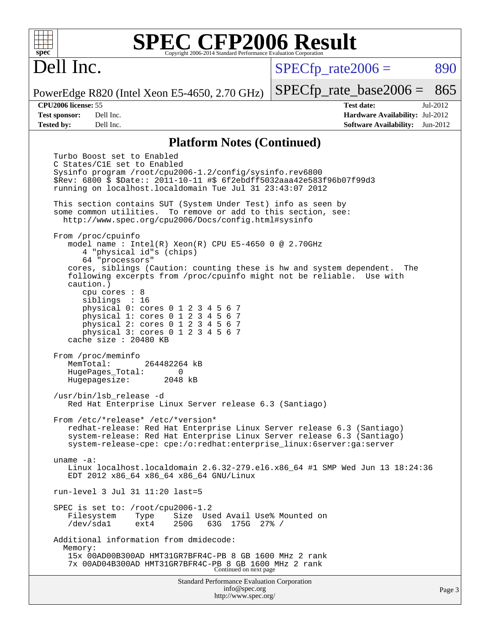Dell Inc.

 $SPECTp\_rate2006 = 890$ 

PowerEdge R820 (Intel Xeon E5-4650, 2.70 GHz)

**[Tested by:](http://www.spec.org/auto/cpu2006/Docs/result-fields.html#Testedby)** Dell Inc. **[Software Availability:](http://www.spec.org/auto/cpu2006/Docs/result-fields.html#SoftwareAvailability)** Jun-2012

**[CPU2006 license:](http://www.spec.org/auto/cpu2006/Docs/result-fields.html#CPU2006license)** 55 **[Test date:](http://www.spec.org/auto/cpu2006/Docs/result-fields.html#Testdate)** Jul-2012 **[Test sponsor:](http://www.spec.org/auto/cpu2006/Docs/result-fields.html#Testsponsor)** Dell Inc. **[Hardware Availability:](http://www.spec.org/auto/cpu2006/Docs/result-fields.html#HardwareAvailability)** Jul-2012

[SPECfp\\_rate\\_base2006 =](http://www.spec.org/auto/cpu2006/Docs/result-fields.html#SPECfpratebase2006) 865

#### **[Platform Notes \(Continued\)](http://www.spec.org/auto/cpu2006/Docs/result-fields.html#PlatformNotes)**

Standard Performance Evaluation Corporation [info@spec.org](mailto:info@spec.org) Turbo Boost set to Enabled C States/C1E set to Enabled Sysinfo program /root/cpu2006-1.2/config/sysinfo.rev6800 \$Rev: 6800 \$ \$Date:: 2011-10-11 #\$ 6f2ebdff5032aaa42e583f96b07f99d3 running on localhost.localdomain Tue Jul 31 23:43:07 2012 This section contains SUT (System Under Test) info as seen by some common utilities. To remove or add to this section, see: <http://www.spec.org/cpu2006/Docs/config.html#sysinfo> From /proc/cpuinfo model name : Intel(R) Xeon(R) CPU E5-4650 0 @ 2.70GHz 4 "physical id"s (chips) 64 "processors" cores, siblings (Caution: counting these is hw and system dependent. The following excerpts from /proc/cpuinfo might not be reliable. Use with caution.) cpu cores : 8 siblings : 16 physical 0: cores 0 1 2 3 4 5 6 7 physical 1: cores 0 1 2 3 4 5 6 7 physical 2: cores 0 1 2 3 4 5 6 7 physical 3: cores 0 1 2 3 4 5 6 7 cache size : 20480 KB From /proc/meminfo MemTotal: 264482264 kB HugePages\_Total: 0<br>Hugepagesize: 2048 kB Hugepagesize: /usr/bin/lsb\_release -d Red Hat Enterprise Linux Server release 6.3 (Santiago) From /etc/\*release\* /etc/\*version\* redhat-release: Red Hat Enterprise Linux Server release 6.3 (Santiago) system-release: Red Hat Enterprise Linux Server release 6.3 (Santiago) system-release-cpe: cpe:/o:redhat:enterprise\_linux:6server:ga:server uname -a: Linux localhost.localdomain 2.6.32-279.el6.x86 64 #1 SMP Wed Jun 13 18:24:36 EDT 2012 x86\_64 x86\_64 x86\_64 GNU/Linux run-level 3 Jul 31 11:20 last=5 SPEC is set to: /root/cpu2006-1.2 Filesystem Type Size Used-Avail-Use%-Mounted-on-<br>  $\sqrt{\text{dev}}/\text{sdal}$  ext4 250G 63G 175G 27%-/ 63G 175G 27% / Additional information from dmidecode: Memory: 15x 00AD00B300AD HMT31GR7BFR4C-PB 8 GB 1600 MHz 2 rank 7x 00AD04B300AD HMT31GR7BFR4C-PB 8 GB 1600 MHz 2 rank Continued on next page

<http://www.spec.org/>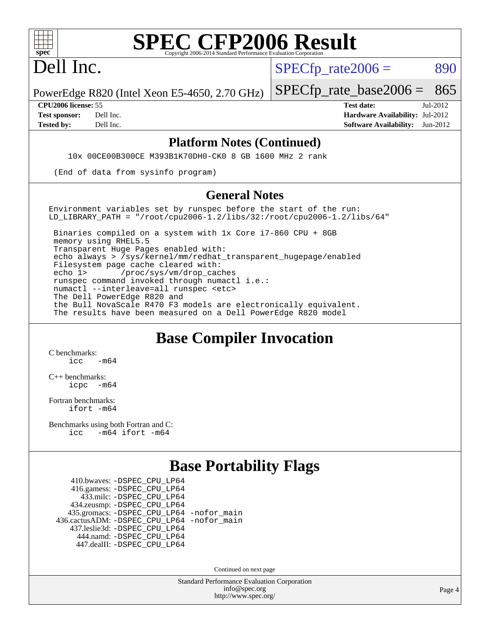

Dell Inc.

 $SPECTp\_rate2006 = 890$ 

PowerEdge R820 (Intel Xeon E5-4650, 2.70 GHz)

**[Tested by:](http://www.spec.org/auto/cpu2006/Docs/result-fields.html#Testedby)** Dell Inc. **[Software Availability:](http://www.spec.org/auto/cpu2006/Docs/result-fields.html#SoftwareAvailability)** Jun-2012

[SPECfp\\_rate\\_base2006 =](http://www.spec.org/auto/cpu2006/Docs/result-fields.html#SPECfpratebase2006) 865 **[CPU2006 license:](http://www.spec.org/auto/cpu2006/Docs/result-fields.html#CPU2006license)** 55 **[Test date:](http://www.spec.org/auto/cpu2006/Docs/result-fields.html#Testdate)** Jul-2012 **[Test sponsor:](http://www.spec.org/auto/cpu2006/Docs/result-fields.html#Testsponsor)** Dell Inc. **[Hardware Availability:](http://www.spec.org/auto/cpu2006/Docs/result-fields.html#HardwareAvailability)** Jul-2012

#### **[Platform Notes \(Continued\)](http://www.spec.org/auto/cpu2006/Docs/result-fields.html#PlatformNotes)**

10x 00CE00B300CE M393B1K70DH0-CK0 8 GB 1600 MHz 2 rank

(End of data from sysinfo program)

#### **[General Notes](http://www.spec.org/auto/cpu2006/Docs/result-fields.html#GeneralNotes)**

Environment variables set by runspec before the start of the run: LD LIBRARY PATH = "/root/cpu2006-1.2/libs/32:/root/cpu2006-1.2/libs/64"

 Binaries compiled on a system with 1x Core i7-860 CPU + 8GB memory using RHEL5.5 Transparent Huge Pages enabled with: echo always > /sys/kernel/mm/redhat\_transparent\_hugepage/enabled Filesystem page cache cleared with: echo 1> /proc/sys/vm/drop\_caches runspec command invoked through numactl i.e.: numactl --interleave=all runspec <etc> The Dell PowerEdge R820 and the Bull NovaScale R470 F3 models are electronically equivalent. The results have been measured on a Dell PowerEdge R820 model

#### **[Base Compiler Invocation](http://www.spec.org/auto/cpu2006/Docs/result-fields.html#BaseCompilerInvocation)**

[C benchmarks](http://www.spec.org/auto/cpu2006/Docs/result-fields.html#Cbenchmarks):  $inc$   $-m64$ 

[C++ benchmarks:](http://www.spec.org/auto/cpu2006/Docs/result-fields.html#CXXbenchmarks) [icpc -m64](http://www.spec.org/cpu2006/results/res2012q3/cpu2006-20120814-24232.flags.html#user_CXXbase_intel_icpc_64bit_bedb90c1146cab66620883ef4f41a67e)

[Fortran benchmarks](http://www.spec.org/auto/cpu2006/Docs/result-fields.html#Fortranbenchmarks): [ifort -m64](http://www.spec.org/cpu2006/results/res2012q3/cpu2006-20120814-24232.flags.html#user_FCbase_intel_ifort_64bit_ee9d0fb25645d0210d97eb0527dcc06e)

[Benchmarks using both Fortran and C](http://www.spec.org/auto/cpu2006/Docs/result-fields.html#BenchmarksusingbothFortranandC): [icc -m64](http://www.spec.org/cpu2006/results/res2012q3/cpu2006-20120814-24232.flags.html#user_CC_FCbase_intel_icc_64bit_0b7121f5ab7cfabee23d88897260401c) [ifort -m64](http://www.spec.org/cpu2006/results/res2012q3/cpu2006-20120814-24232.flags.html#user_CC_FCbase_intel_ifort_64bit_ee9d0fb25645d0210d97eb0527dcc06e)

## **[Base Portability Flags](http://www.spec.org/auto/cpu2006/Docs/result-fields.html#BasePortabilityFlags)**

 410.bwaves: [-DSPEC\\_CPU\\_LP64](http://www.spec.org/cpu2006/results/res2012q3/cpu2006-20120814-24232.flags.html#suite_basePORTABILITY410_bwaves_DSPEC_CPU_LP64) 416.gamess: [-DSPEC\\_CPU\\_LP64](http://www.spec.org/cpu2006/results/res2012q3/cpu2006-20120814-24232.flags.html#suite_basePORTABILITY416_gamess_DSPEC_CPU_LP64) 433.milc: [-DSPEC\\_CPU\\_LP64](http://www.spec.org/cpu2006/results/res2012q3/cpu2006-20120814-24232.flags.html#suite_basePORTABILITY433_milc_DSPEC_CPU_LP64) 434.zeusmp: [-DSPEC\\_CPU\\_LP64](http://www.spec.org/cpu2006/results/res2012q3/cpu2006-20120814-24232.flags.html#suite_basePORTABILITY434_zeusmp_DSPEC_CPU_LP64) 435.gromacs: [-DSPEC\\_CPU\\_LP64](http://www.spec.org/cpu2006/results/res2012q3/cpu2006-20120814-24232.flags.html#suite_basePORTABILITY435_gromacs_DSPEC_CPU_LP64) [-nofor\\_main](http://www.spec.org/cpu2006/results/res2012q3/cpu2006-20120814-24232.flags.html#user_baseLDPORTABILITY435_gromacs_f-nofor_main) 436.cactusADM: [-DSPEC\\_CPU\\_LP64](http://www.spec.org/cpu2006/results/res2012q3/cpu2006-20120814-24232.flags.html#suite_basePORTABILITY436_cactusADM_DSPEC_CPU_LP64) [-nofor\\_main](http://www.spec.org/cpu2006/results/res2012q3/cpu2006-20120814-24232.flags.html#user_baseLDPORTABILITY436_cactusADM_f-nofor_main) 437.leslie3d: [-DSPEC\\_CPU\\_LP64](http://www.spec.org/cpu2006/results/res2012q3/cpu2006-20120814-24232.flags.html#suite_basePORTABILITY437_leslie3d_DSPEC_CPU_LP64) 444.namd: [-DSPEC\\_CPU\\_LP64](http://www.spec.org/cpu2006/results/res2012q3/cpu2006-20120814-24232.flags.html#suite_basePORTABILITY444_namd_DSPEC_CPU_LP64) 447.dealII: [-DSPEC\\_CPU\\_LP64](http://www.spec.org/cpu2006/results/res2012q3/cpu2006-20120814-24232.flags.html#suite_basePORTABILITY447_dealII_DSPEC_CPU_LP64)

Continued on next page

Standard Performance Evaluation Corporation [info@spec.org](mailto:info@spec.org) <http://www.spec.org/>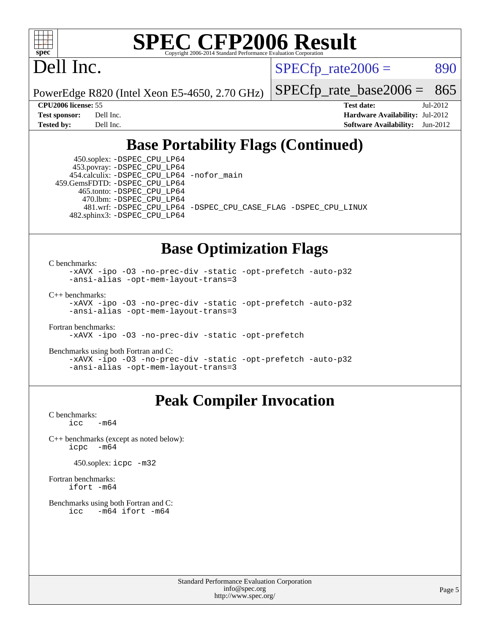

Dell Inc.

 $SPECTp\_rate2006 = 890$ 

[SPECfp\\_rate\\_base2006 =](http://www.spec.org/auto/cpu2006/Docs/result-fields.html#SPECfpratebase2006) 865

PowerEdge R820 (Intel Xeon E5-4650, 2.70 GHz)

**[CPU2006 license:](http://www.spec.org/auto/cpu2006/Docs/result-fields.html#CPU2006license)** 55 **[Test date:](http://www.spec.org/auto/cpu2006/Docs/result-fields.html#Testdate)** Jul-2012 **[Test sponsor:](http://www.spec.org/auto/cpu2006/Docs/result-fields.html#Testsponsor)** Dell Inc. **[Hardware Availability:](http://www.spec.org/auto/cpu2006/Docs/result-fields.html#HardwareAvailability)** Jul-2012 **[Tested by:](http://www.spec.org/auto/cpu2006/Docs/result-fields.html#Testedby)** Dell Inc. **[Software Availability:](http://www.spec.org/auto/cpu2006/Docs/result-fields.html#SoftwareAvailability)** Jun-2012

## **[Base Portability Flags \(Continued\)](http://www.spec.org/auto/cpu2006/Docs/result-fields.html#BasePortabilityFlags)**

 450.soplex: [-DSPEC\\_CPU\\_LP64](http://www.spec.org/cpu2006/results/res2012q3/cpu2006-20120814-24232.flags.html#suite_basePORTABILITY450_soplex_DSPEC_CPU_LP64) 453.povray: [-DSPEC\\_CPU\\_LP64](http://www.spec.org/cpu2006/results/res2012q3/cpu2006-20120814-24232.flags.html#suite_basePORTABILITY453_povray_DSPEC_CPU_LP64) 454.calculix: [-DSPEC\\_CPU\\_LP64](http://www.spec.org/cpu2006/results/res2012q3/cpu2006-20120814-24232.flags.html#suite_basePORTABILITY454_calculix_DSPEC_CPU_LP64) [-nofor\\_main](http://www.spec.org/cpu2006/results/res2012q3/cpu2006-20120814-24232.flags.html#user_baseLDPORTABILITY454_calculix_f-nofor_main) 459.GemsFDTD: [-DSPEC\\_CPU\\_LP64](http://www.spec.org/cpu2006/results/res2012q3/cpu2006-20120814-24232.flags.html#suite_basePORTABILITY459_GemsFDTD_DSPEC_CPU_LP64) 465.tonto: [-DSPEC\\_CPU\\_LP64](http://www.spec.org/cpu2006/results/res2012q3/cpu2006-20120814-24232.flags.html#suite_basePORTABILITY465_tonto_DSPEC_CPU_LP64) 470.lbm: [-DSPEC\\_CPU\\_LP64](http://www.spec.org/cpu2006/results/res2012q3/cpu2006-20120814-24232.flags.html#suite_basePORTABILITY470_lbm_DSPEC_CPU_LP64) 482.sphinx3: [-DSPEC\\_CPU\\_LP64](http://www.spec.org/cpu2006/results/res2012q3/cpu2006-20120814-24232.flags.html#suite_basePORTABILITY482_sphinx3_DSPEC_CPU_LP64)

481.wrf: [-DSPEC\\_CPU\\_LP64](http://www.spec.org/cpu2006/results/res2012q3/cpu2006-20120814-24232.flags.html#suite_basePORTABILITY481_wrf_DSPEC_CPU_LP64) [-DSPEC\\_CPU\\_CASE\\_FLAG](http://www.spec.org/cpu2006/results/res2012q3/cpu2006-20120814-24232.flags.html#b481.wrf_baseCPORTABILITY_DSPEC_CPU_CASE_FLAG) [-DSPEC\\_CPU\\_LINUX](http://www.spec.org/cpu2006/results/res2012q3/cpu2006-20120814-24232.flags.html#b481.wrf_baseCPORTABILITY_DSPEC_CPU_LINUX)

## **[Base Optimization Flags](http://www.spec.org/auto/cpu2006/Docs/result-fields.html#BaseOptimizationFlags)**

[C benchmarks](http://www.spec.org/auto/cpu2006/Docs/result-fields.html#Cbenchmarks):

[-xAVX](http://www.spec.org/cpu2006/results/res2012q3/cpu2006-20120814-24232.flags.html#user_CCbase_f-xAVX) [-ipo](http://www.spec.org/cpu2006/results/res2012q3/cpu2006-20120814-24232.flags.html#user_CCbase_f-ipo) [-O3](http://www.spec.org/cpu2006/results/res2012q3/cpu2006-20120814-24232.flags.html#user_CCbase_f-O3) [-no-prec-div](http://www.spec.org/cpu2006/results/res2012q3/cpu2006-20120814-24232.flags.html#user_CCbase_f-no-prec-div) [-static](http://www.spec.org/cpu2006/results/res2012q3/cpu2006-20120814-24232.flags.html#user_CCbase_f-static) [-opt-prefetch](http://www.spec.org/cpu2006/results/res2012q3/cpu2006-20120814-24232.flags.html#user_CCbase_f-opt-prefetch) [-auto-p32](http://www.spec.org/cpu2006/results/res2012q3/cpu2006-20120814-24232.flags.html#user_CCbase_f-auto-p32) [-ansi-alias](http://www.spec.org/cpu2006/results/res2012q3/cpu2006-20120814-24232.flags.html#user_CCbase_f-ansi-alias) [-opt-mem-layout-trans=3](http://www.spec.org/cpu2006/results/res2012q3/cpu2006-20120814-24232.flags.html#user_CCbase_f-opt-mem-layout-trans_a7b82ad4bd7abf52556d4961a2ae94d5)

[C++ benchmarks:](http://www.spec.org/auto/cpu2006/Docs/result-fields.html#CXXbenchmarks)

[-xAVX](http://www.spec.org/cpu2006/results/res2012q3/cpu2006-20120814-24232.flags.html#user_CXXbase_f-xAVX) [-ipo](http://www.spec.org/cpu2006/results/res2012q3/cpu2006-20120814-24232.flags.html#user_CXXbase_f-ipo) [-O3](http://www.spec.org/cpu2006/results/res2012q3/cpu2006-20120814-24232.flags.html#user_CXXbase_f-O3) [-no-prec-div](http://www.spec.org/cpu2006/results/res2012q3/cpu2006-20120814-24232.flags.html#user_CXXbase_f-no-prec-div) [-static](http://www.spec.org/cpu2006/results/res2012q3/cpu2006-20120814-24232.flags.html#user_CXXbase_f-static) [-opt-prefetch](http://www.spec.org/cpu2006/results/res2012q3/cpu2006-20120814-24232.flags.html#user_CXXbase_f-opt-prefetch) [-auto-p32](http://www.spec.org/cpu2006/results/res2012q3/cpu2006-20120814-24232.flags.html#user_CXXbase_f-auto-p32) [-ansi-alias](http://www.spec.org/cpu2006/results/res2012q3/cpu2006-20120814-24232.flags.html#user_CXXbase_f-ansi-alias) [-opt-mem-layout-trans=3](http://www.spec.org/cpu2006/results/res2012q3/cpu2006-20120814-24232.flags.html#user_CXXbase_f-opt-mem-layout-trans_a7b82ad4bd7abf52556d4961a2ae94d5)

[Fortran benchmarks](http://www.spec.org/auto/cpu2006/Docs/result-fields.html#Fortranbenchmarks):

[-xAVX](http://www.spec.org/cpu2006/results/res2012q3/cpu2006-20120814-24232.flags.html#user_FCbase_f-xAVX) [-ipo](http://www.spec.org/cpu2006/results/res2012q3/cpu2006-20120814-24232.flags.html#user_FCbase_f-ipo) [-O3](http://www.spec.org/cpu2006/results/res2012q3/cpu2006-20120814-24232.flags.html#user_FCbase_f-O3) [-no-prec-div](http://www.spec.org/cpu2006/results/res2012q3/cpu2006-20120814-24232.flags.html#user_FCbase_f-no-prec-div) [-static](http://www.spec.org/cpu2006/results/res2012q3/cpu2006-20120814-24232.flags.html#user_FCbase_f-static) [-opt-prefetch](http://www.spec.org/cpu2006/results/res2012q3/cpu2006-20120814-24232.flags.html#user_FCbase_f-opt-prefetch)

[Benchmarks using both Fortran and C](http://www.spec.org/auto/cpu2006/Docs/result-fields.html#BenchmarksusingbothFortranandC):

[-xAVX](http://www.spec.org/cpu2006/results/res2012q3/cpu2006-20120814-24232.flags.html#user_CC_FCbase_f-xAVX) [-ipo](http://www.spec.org/cpu2006/results/res2012q3/cpu2006-20120814-24232.flags.html#user_CC_FCbase_f-ipo) [-O3](http://www.spec.org/cpu2006/results/res2012q3/cpu2006-20120814-24232.flags.html#user_CC_FCbase_f-O3) [-no-prec-div](http://www.spec.org/cpu2006/results/res2012q3/cpu2006-20120814-24232.flags.html#user_CC_FCbase_f-no-prec-div) [-static](http://www.spec.org/cpu2006/results/res2012q3/cpu2006-20120814-24232.flags.html#user_CC_FCbase_f-static) [-opt-prefetch](http://www.spec.org/cpu2006/results/res2012q3/cpu2006-20120814-24232.flags.html#user_CC_FCbase_f-opt-prefetch) [-auto-p32](http://www.spec.org/cpu2006/results/res2012q3/cpu2006-20120814-24232.flags.html#user_CC_FCbase_f-auto-p32) [-ansi-alias](http://www.spec.org/cpu2006/results/res2012q3/cpu2006-20120814-24232.flags.html#user_CC_FCbase_f-ansi-alias) [-opt-mem-layout-trans=3](http://www.spec.org/cpu2006/results/res2012q3/cpu2006-20120814-24232.flags.html#user_CC_FCbase_f-opt-mem-layout-trans_a7b82ad4bd7abf52556d4961a2ae94d5)

## **[Peak Compiler Invocation](http://www.spec.org/auto/cpu2006/Docs/result-fields.html#PeakCompilerInvocation)**

[C benchmarks](http://www.spec.org/auto/cpu2006/Docs/result-fields.html#Cbenchmarks):  $\text{icc}$  -m64

[C++ benchmarks \(except as noted below\):](http://www.spec.org/auto/cpu2006/Docs/result-fields.html#CXXbenchmarksexceptasnotedbelow) [icpc -m64](http://www.spec.org/cpu2006/results/res2012q3/cpu2006-20120814-24232.flags.html#user_CXXpeak_intel_icpc_64bit_bedb90c1146cab66620883ef4f41a67e)

450.soplex: [icpc -m32](http://www.spec.org/cpu2006/results/res2012q3/cpu2006-20120814-24232.flags.html#user_peakCXXLD450_soplex_intel_icpc_4e5a5ef1a53fd332b3c49e69c3330699)

[Fortran benchmarks](http://www.spec.org/auto/cpu2006/Docs/result-fields.html#Fortranbenchmarks): [ifort -m64](http://www.spec.org/cpu2006/results/res2012q3/cpu2006-20120814-24232.flags.html#user_FCpeak_intel_ifort_64bit_ee9d0fb25645d0210d97eb0527dcc06e)

[Benchmarks using both Fortran and C](http://www.spec.org/auto/cpu2006/Docs/result-fields.html#BenchmarksusingbothFortranandC): [icc -m64](http://www.spec.org/cpu2006/results/res2012q3/cpu2006-20120814-24232.flags.html#user_CC_FCpeak_intel_icc_64bit_0b7121f5ab7cfabee23d88897260401c) [ifort -m64](http://www.spec.org/cpu2006/results/res2012q3/cpu2006-20120814-24232.flags.html#user_CC_FCpeak_intel_ifort_64bit_ee9d0fb25645d0210d97eb0527dcc06e)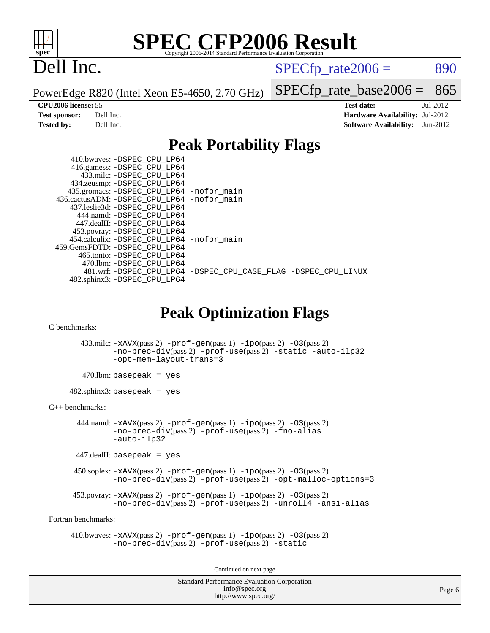

# Dell Inc.

 $SPECTp\_rate2006 = 890$ 

PowerEdge R820 (Intel Xeon E5-4650, 2.70 GHz)

[SPECfp\\_rate\\_base2006 =](http://www.spec.org/auto/cpu2006/Docs/result-fields.html#SPECfpratebase2006) 865

**[CPU2006 license:](http://www.spec.org/auto/cpu2006/Docs/result-fields.html#CPU2006license)** 55 **[Test date:](http://www.spec.org/auto/cpu2006/Docs/result-fields.html#Testdate)** Jul-2012 **[Test sponsor:](http://www.spec.org/auto/cpu2006/Docs/result-fields.html#Testsponsor)** Dell Inc. **[Hardware Availability:](http://www.spec.org/auto/cpu2006/Docs/result-fields.html#HardwareAvailability)** Jul-2012 **[Tested by:](http://www.spec.org/auto/cpu2006/Docs/result-fields.html#Testedby)** Dell Inc. **[Software Availability:](http://www.spec.org/auto/cpu2006/Docs/result-fields.html#SoftwareAvailability)** Jun-2012

## **[Peak Portability Flags](http://www.spec.org/auto/cpu2006/Docs/result-fields.html#PeakPortabilityFlags)**

| 410.bwaves: -DSPEC CPU LP64                 |                                                                |
|---------------------------------------------|----------------------------------------------------------------|
| 416.gamess: -DSPEC_CPU_LP64                 |                                                                |
| 433.milc: -DSPEC CPU LP64                   |                                                                |
| 434.zeusmp: -DSPEC_CPU_LP64                 |                                                                |
| 435.gromacs: -DSPEC_CPU_LP64 -nofor_main    |                                                                |
| 436.cactusADM: -DSPEC CPU LP64 -nofor main  |                                                                |
| 437.leslie3d: -DSPEC CPU LP64               |                                                                |
| 444.namd: -DSPEC CPU LP64                   |                                                                |
| 447.dealII: -DSPEC CPU LP64                 |                                                                |
| 453.povray: -DSPEC_CPU_LP64                 |                                                                |
| 454.calculix: - DSPEC CPU LP64 - nofor main |                                                                |
| 459. GemsFDTD: - DSPEC CPU LP64             |                                                                |
| 465.tonto: - DSPEC CPU LP64                 |                                                                |
| 470.1bm: - DSPEC CPU LP64                   |                                                                |
|                                             | 481.wrf: -DSPEC_CPU_LP64 -DSPEC_CPU_CASE_FLAG -DSPEC_CPU_LINUX |
| 482.sphinx3: -DSPEC_CPU_LP64                |                                                                |

## **[Peak Optimization Flags](http://www.spec.org/auto/cpu2006/Docs/result-fields.html#PeakOptimizationFlags)**

[C benchmarks](http://www.spec.org/auto/cpu2006/Docs/result-fields.html#Cbenchmarks):

 433.milc: [-xAVX](http://www.spec.org/cpu2006/results/res2012q3/cpu2006-20120814-24232.flags.html#user_peakPASS2_CFLAGSPASS2_LDFLAGS433_milc_f-xAVX)(pass 2) [-prof-gen](http://www.spec.org/cpu2006/results/res2012q3/cpu2006-20120814-24232.flags.html#user_peakPASS1_CFLAGSPASS1_LDFLAGS433_milc_prof_gen_e43856698f6ca7b7e442dfd80e94a8fc)(pass 1) [-ipo](http://www.spec.org/cpu2006/results/res2012q3/cpu2006-20120814-24232.flags.html#user_peakPASS2_CFLAGSPASS2_LDFLAGS433_milc_f-ipo)(pass 2) [-O3](http://www.spec.org/cpu2006/results/res2012q3/cpu2006-20120814-24232.flags.html#user_peakPASS2_CFLAGSPASS2_LDFLAGS433_milc_f-O3)(pass 2) [-no-prec-div](http://www.spec.org/cpu2006/results/res2012q3/cpu2006-20120814-24232.flags.html#user_peakPASS2_CFLAGSPASS2_LDFLAGS433_milc_f-no-prec-div)(pass 2) [-prof-use](http://www.spec.org/cpu2006/results/res2012q3/cpu2006-20120814-24232.flags.html#user_peakPASS2_CFLAGSPASS2_LDFLAGS433_milc_prof_use_bccf7792157ff70d64e32fe3e1250b55)(pass 2) [-static](http://www.spec.org/cpu2006/results/res2012q3/cpu2006-20120814-24232.flags.html#user_peakOPTIMIZE433_milc_f-static) [-auto-ilp32](http://www.spec.org/cpu2006/results/res2012q3/cpu2006-20120814-24232.flags.html#user_peakCOPTIMIZE433_milc_f-auto-ilp32) [-opt-mem-layout-trans=3](http://www.spec.org/cpu2006/results/res2012q3/cpu2006-20120814-24232.flags.html#user_peakCOPTIMIZE433_milc_f-opt-mem-layout-trans_a7b82ad4bd7abf52556d4961a2ae94d5)

 $470$ .lbm: basepeak = yes

482.sphinx3: basepeak = yes

[C++ benchmarks:](http://www.spec.org/auto/cpu2006/Docs/result-fields.html#CXXbenchmarks)

444.namd:  $-xAVX(pass 2)$  $-xAVX(pass 2)$  [-prof-gen](http://www.spec.org/cpu2006/results/res2012q3/cpu2006-20120814-24232.flags.html#user_peakPASS1_CXXFLAGSPASS1_LDFLAGS444_namd_prof_gen_e43856698f6ca7b7e442dfd80e94a8fc)(pass 1) [-ipo](http://www.spec.org/cpu2006/results/res2012q3/cpu2006-20120814-24232.flags.html#user_peakPASS2_CXXFLAGSPASS2_LDFLAGS444_namd_f-ipo)(pass 2) [-O3](http://www.spec.org/cpu2006/results/res2012q3/cpu2006-20120814-24232.flags.html#user_peakPASS2_CXXFLAGSPASS2_LDFLAGS444_namd_f-O3)(pass 2) [-no-prec-div](http://www.spec.org/cpu2006/results/res2012q3/cpu2006-20120814-24232.flags.html#user_peakPASS2_CXXFLAGSPASS2_LDFLAGS444_namd_f-no-prec-div)(pass 2) [-prof-use](http://www.spec.org/cpu2006/results/res2012q3/cpu2006-20120814-24232.flags.html#user_peakPASS2_CXXFLAGSPASS2_LDFLAGS444_namd_prof_use_bccf7792157ff70d64e32fe3e1250b55)(pass 2) [-fno-alias](http://www.spec.org/cpu2006/results/res2012q3/cpu2006-20120814-24232.flags.html#user_peakCXXOPTIMIZE444_namd_f-no-alias_694e77f6c5a51e658e82ccff53a9e63a) [-auto-ilp32](http://www.spec.org/cpu2006/results/res2012q3/cpu2006-20120814-24232.flags.html#user_peakCXXOPTIMIZE444_namd_f-auto-ilp32)

 $447$ .dealII: basepeak = yes

 450.soplex: [-xAVX](http://www.spec.org/cpu2006/results/res2012q3/cpu2006-20120814-24232.flags.html#user_peakPASS2_CXXFLAGSPASS2_LDFLAGS450_soplex_f-xAVX)(pass 2) [-prof-gen](http://www.spec.org/cpu2006/results/res2012q3/cpu2006-20120814-24232.flags.html#user_peakPASS1_CXXFLAGSPASS1_LDFLAGS450_soplex_prof_gen_e43856698f6ca7b7e442dfd80e94a8fc)(pass 1) [-ipo](http://www.spec.org/cpu2006/results/res2012q3/cpu2006-20120814-24232.flags.html#user_peakPASS2_CXXFLAGSPASS2_LDFLAGS450_soplex_f-ipo)(pass 2) [-O3](http://www.spec.org/cpu2006/results/res2012q3/cpu2006-20120814-24232.flags.html#user_peakPASS2_CXXFLAGSPASS2_LDFLAGS450_soplex_f-O3)(pass 2) [-no-prec-div](http://www.spec.org/cpu2006/results/res2012q3/cpu2006-20120814-24232.flags.html#user_peakPASS2_CXXFLAGSPASS2_LDFLAGS450_soplex_f-no-prec-div)(pass 2) [-prof-use](http://www.spec.org/cpu2006/results/res2012q3/cpu2006-20120814-24232.flags.html#user_peakPASS2_CXXFLAGSPASS2_LDFLAGS450_soplex_prof_use_bccf7792157ff70d64e32fe3e1250b55)(pass 2) [-opt-malloc-options=3](http://www.spec.org/cpu2006/results/res2012q3/cpu2006-20120814-24232.flags.html#user_peakOPTIMIZE450_soplex_f-opt-malloc-options_13ab9b803cf986b4ee62f0a5998c2238)

453.povray:  $-xAVX(pass 2)$  $-xAVX(pass 2)$  [-prof-gen](http://www.spec.org/cpu2006/results/res2012q3/cpu2006-20120814-24232.flags.html#user_peakPASS1_CXXFLAGSPASS1_LDFLAGS453_povray_prof_gen_e43856698f6ca7b7e442dfd80e94a8fc)(pass 1) [-ipo](http://www.spec.org/cpu2006/results/res2012q3/cpu2006-20120814-24232.flags.html#user_peakPASS2_CXXFLAGSPASS2_LDFLAGS453_povray_f-ipo)(pass 2) -03(pass 2) [-no-prec-div](http://www.spec.org/cpu2006/results/res2012q3/cpu2006-20120814-24232.flags.html#user_peakPASS2_CXXFLAGSPASS2_LDFLAGS453_povray_f-no-prec-div)(pass 2) [-prof-use](http://www.spec.org/cpu2006/results/res2012q3/cpu2006-20120814-24232.flags.html#user_peakPASS2_CXXFLAGSPASS2_LDFLAGS453_povray_prof_use_bccf7792157ff70d64e32fe3e1250b55)(pass 2) [-unroll4](http://www.spec.org/cpu2006/results/res2012q3/cpu2006-20120814-24232.flags.html#user_peakCXXOPTIMIZE453_povray_f-unroll_4e5e4ed65b7fd20bdcd365bec371b81f) [-ansi-alias](http://www.spec.org/cpu2006/results/res2012q3/cpu2006-20120814-24232.flags.html#user_peakCXXOPTIMIZE453_povray_f-ansi-alias)

[Fortran benchmarks](http://www.spec.org/auto/cpu2006/Docs/result-fields.html#Fortranbenchmarks):

 410.bwaves: [-xAVX](http://www.spec.org/cpu2006/results/res2012q3/cpu2006-20120814-24232.flags.html#user_peakPASS2_FFLAGSPASS2_LDFLAGS410_bwaves_f-xAVX)(pass 2) [-prof-gen](http://www.spec.org/cpu2006/results/res2012q3/cpu2006-20120814-24232.flags.html#user_peakPASS1_FFLAGSPASS1_LDFLAGS410_bwaves_prof_gen_e43856698f6ca7b7e442dfd80e94a8fc)(pass 1) [-ipo](http://www.spec.org/cpu2006/results/res2012q3/cpu2006-20120814-24232.flags.html#user_peakPASS2_FFLAGSPASS2_LDFLAGS410_bwaves_f-ipo)(pass 2) [-O3](http://www.spec.org/cpu2006/results/res2012q3/cpu2006-20120814-24232.flags.html#user_peakPASS2_FFLAGSPASS2_LDFLAGS410_bwaves_f-O3)(pass 2) [-no-prec-div](http://www.spec.org/cpu2006/results/res2012q3/cpu2006-20120814-24232.flags.html#user_peakPASS2_FFLAGSPASS2_LDFLAGS410_bwaves_f-no-prec-div)(pass 2) [-prof-use](http://www.spec.org/cpu2006/results/res2012q3/cpu2006-20120814-24232.flags.html#user_peakPASS2_FFLAGSPASS2_LDFLAGS410_bwaves_prof_use_bccf7792157ff70d64e32fe3e1250b55)(pass 2) [-static](http://www.spec.org/cpu2006/results/res2012q3/cpu2006-20120814-24232.flags.html#user_peakOPTIMIZE410_bwaves_f-static)

Continued on next page

Standard Performance Evaluation Corporation [info@spec.org](mailto:info@spec.org) <http://www.spec.org/>